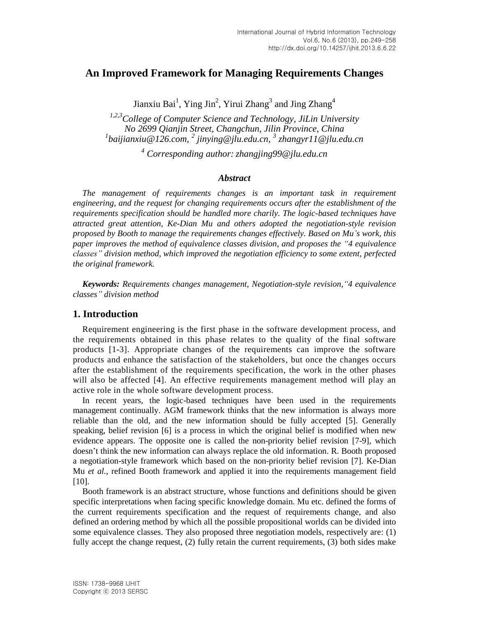# **An Improved Framework for Managing Requirements Changes**

Jianxiu Bai<sup>1</sup>, Ying Jin<sup>2</sup>, Yirui Zhang<sup>3</sup> and Jing Zhang<sup>4</sup>

*1,2,3College of Computer Science and Technology, JiLin University No 2699 Qianjin Street, Changchun, Jilin Province, China 1 baijianxiu@126.com, 2 jinying@jlu.edu.cn, 3 zhangyr11@jlu.edu.cn*

*<sup>4</sup> Corresponding author: zhangjing99@jlu.edu.cn*

### *Abstract*

*The management of requirements changes is an important task in requirement engineering, and the request for changing requirements occurs after the establishment of the requirements specification should be handled more charily. The logic-based techniques have attracted great attention, Ke-Dian Mu and others adopted the negotiation-style revision proposed by Booth to manage the requirements changes effectively. Based on Mu's work, this paper improves the method of equivalence classes division, and proposes the "4 equivalence classes" division method, which improved the negotiation efficiency to some extent, perfected the original framework.*

*Keywords: Requirements changes management, Negotiation-style revision,"4 equivalence classes" division method*

## **1. Introduction**

Requirement engineering is the first phase in the software development process, and the requirements obtained in this phase relates to the quality of the final software products [1-3]. Appropriate changes of the requirements can improve the software products and enhance the satisfaction of the stakeholders, but once the changes occurs after the establishment of the requirements specification, the work in the other phases will also be affected [4]. An effective requirements management method will play an active role in the whole software development process.

In recent years, the logic-based techniques have been used in the requirements management continually. AGM framework thinks that the new information is always more reliable than the old, and the new information should be fully accepted [5]. Generally speaking, belief revision [6] is a process in which the original belief is modified when new evidence appears. The opposite one is called the non-priority belief revision [7-9], which doesn't think the new information can always replace the old information. R. Booth proposed a negotiation-style framework which based on the non-priority belief revision [7]. Ke-Dian Mu *et al.*, refined Booth framework and applied it into the requirements management field [10].

Booth framework is an abstract structure, whose functions and definitions should be given specific interpretations when facing specific knowledge domain. Mu etc. defined the forms of the current requirements specification and the request of requirements change, and also defined an ordering method by which all the possible propositional worlds can be divided into some equivalence classes. They also proposed three negotiation models, respectively are: (1) fully accept the change request, (2) fully retain the current requirements, (3) both sides make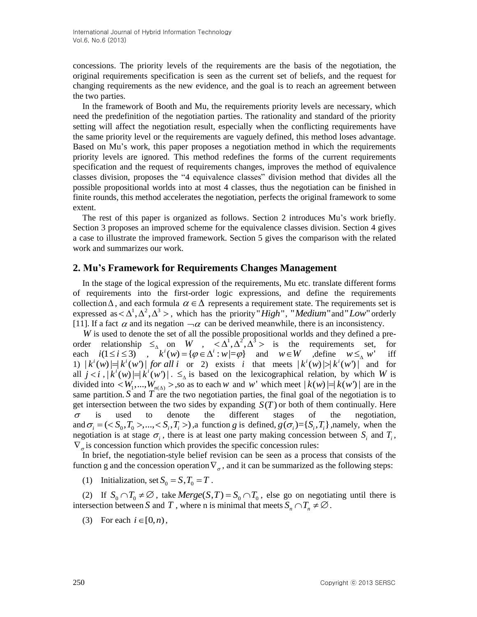concessions. The priority levels of the requirements are the basis of the negotiation, the original requirements specification is seen as the current set of beliefs, and the request for changing requirements as the new evidence, and the goal is to reach an agreement between the two parties.

In the framework of Booth and Mu, the requirements priority levels are necessary, which need the predefinition of the negotiation parties. The rationality and standard of the priority setting will affect the negotiation result, especially when the conflicting requirements have the same priority level or the requirements are vaguely defined, this method loses advantage. Based on Mu's work, this paper proposes a negotiation method in which the requirements priority levels are ignored. This method redefines the forms of the current requirements specification and the request of requirements changes, improves the method of equivalence classes division, proposes the "4 equivalence classes" division method that divides all the possible propositional worlds into at most 4 classes, thus the negotiation can be finished in finite rounds, this method accelerates the negotiation, perfects the original framework to some extent.

The rest of this paper is organized as follows. Section 2 introduces Mu's work briefly. Section 3 proposes an improved scheme for the equivalence classes division. Section 4 gives a case to illustrate the improved framework. Section 5 gives the comparison with the related work and summarizes our work.

### **2. Mu's Framework for Requirements Changes Management**

In the stage of the logical expression of the requirements, Mu etc. translate different forms of requirements into the first-order logic expressions, and define the requirements collection  $\Delta$ , and each formula  $\alpha \in \Delta$  represents a requirement state. The requirements set is expressed as  $\langle \Delta^1, \Delta^2, \Delta^3 \rangle$ , which has the priority "*High*", "*Medium* "and "*Low*" orderly [11]. If a fact  $\alpha$  and its negation  $\neg \alpha$  can be derived meanwhile, there is an inconsistency.

W is used to denote the set of all the possible propositional worlds and they defined a preorder relationship  $\leq_{\Delta}$  on *W*,  $\lt \Delta^1$ ,  $\Delta^2$ ,  $\Delta^3$  is the requirements set, for each  $i(1 \leq i \leq 3)$ ,  $k^i(w) = {\varphi \in \Delta^i : w | = \varphi}$  and  $w \in W$ , define  $w \leq_{\Delta} w$  iff each  $i(1 \le i \le 3)$ iff each  $i(1 \le i \le 3)$ ,  $k(w) = {\varphi \in \Delta : w | = \varphi}$  and  $w \in w$  , define  $w \leq_{\Delta} w$  if <br>1)  $|k^i(w)| = |k^i(w^i)|$  *for all i* or 2) exists *i* that meets  $|k^i(w)| > |k^i(w^i)|$  and for all  $j < i$ ,  $|k^{i}(w)| = |k^{i}(w)|$ .  $\leq_{\Delta}$  is based on the lexicographical relation, by which *W* is divided into  $\langle W_1,...,W_{n(\Delta)}\rangle$ , so as to each w and w' which meet  $|k(w)|=|k(w')|$  are in the same partition.  $S$  and  $T$  are the two negotiation parties, the final goal of the negotiation is to get intersection between the two sides by expanding  $S(T)$  or both of them continually. Here  $\sigma$ is used to denote the different stages of the negotiation,  $\sigma$  is used to denote the different stages of the negotiation,<br>and  $\sigma_i = \langle \langle S_0, T_0 \rangle, \dots, \langle S_i, T_i \rangle$ , a function g is defined,  $g(\sigma_i) = \{S_i, T_i\}$ , namely, when the negotiation is at stage  $\sigma_i$ , there is at least one party making concession between  $S_i$  and  $T_i$ ,  $\nabla_{\sigma}$  is concession function which provides the specific concession rules:

In brief, the negotiation-style belief revision can be seen as a process that consists of the function g and the concession operation  $\nabla_{\sigma}$ , and it can be summarized as the following steps:

(1) Initialization, set  $S_0 = S$ ,  $T_0 = T$ .

(2) If  $S_0 \cap T_0 \neq \emptyset$ , take *Merge*(*S*,*T*) =  $S_0 \cap T_0$ , else go on negotiating until there is intersection between *S* and *T*, where n is minimal that meets  $S_n \cap T_n \neq \emptyset$ .

(3) For each  $i \in [0, n)$ ,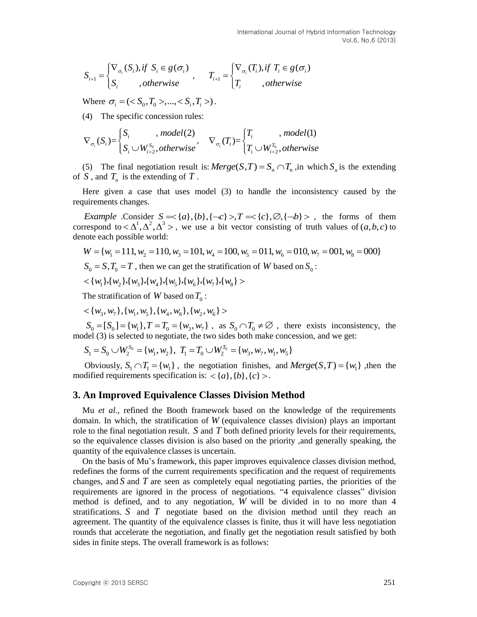$$
S_{i+1} = \begin{cases} \nabla_{\sigma_i}(S_i), & \text{if } S_i \in g(\sigma_i) \\ S_i, & \text{otherwise} \end{cases}, \qquad T_{i+1} = \begin{cases} \nabla_{\sigma_i}(T_i), & \text{if } T_i \in g(\sigma_i) \\ T_i, & \text{otherwise} \end{cases}
$$

Where  $\sigma_i = (\langle S_0, T_0 \rangle, \dots, \langle S_i, T_i \rangle)$ .

(4) The specific concession rules:

$$
\nabla_{\sigma_i}(S_i) = \begin{cases} S_i, \quad \text{model}(2) \\ S_i \cup W_{i+2}^{S_0}, \text{otherwise} \end{cases}, \quad \nabla_{\sigma_i}(T_i) = \begin{cases} T_i, \quad \text{model}(1) \\ T_i \cup W_{i+2}^{T_0}, \text{otherwise} \end{cases}
$$

(5) The final negotiation result is:  $Merge(S,T) = S_n \cap T_n$ , in which  $S_n$  is the extending of  $S$ , and  $T_n$  is the extending of  $T$ .

Here given a case that uses model (3) to handle the inconsistency caused by the requirements changes.

uirements changes.<br> *Example* .Consider  $S = \{a\}, \{b\}, \{-c\} > T = \{c\}, \emptyset, \{-b\} >$ , the forms of them correspond to  $\langle \Delta^1, \Delta^2, \Delta^3 \rangle$ , we use a bit vector consisting of truth values of  $(a, b, c)$  to denote each possible world: *Example* .Consider  $S = \{a\}, \{b\}, \{-c\} > T = \{c\}, \emptyset, \{-b\} >$ , the forms of them respond to  $\langle \Delta^1, \Delta^2, \Delta^3 \rangle$ , we use a bit vector consisting of truth values of  $(a, b, c)$  to note each possible world:<br>  $W = \{w_1 = 111, w_2 = 110$ 

$$
W = \{w_1 = 111, w_2 = 110, w_3 = 101, w_4 = 100, w_5 = 011, w_6 = 010, w_7 = 001, w_8 = 000\}
$$

$$
S_0 = S
$$
,  $T_0 = T$ , then we can get the stratification of *W* based on  $S_0$ :

$$
<\{w_1\}, \{w_2\}, \{w_3\}, \{w_4\}, \{w_5\}, \{w_6\}, \{w_7\}, \{w_8\}>
$$

The stratification of *W* based on 
$$
T_0
$$
:  
<  $\{w_3, w_7\}, \{w_1, w_5\}, \{w_4, w_8\}, \{w_2, w_6\}$ 

 $0 < \{w_3, w_7\}$ ,  $\{w_1, w_5\}$ ,  $\{w_4, w_8\}$ ,  $\{w_2, w_6\}$  ><br>  $S_0 = [S_0] = \{w_1\}$ ,  $T = T_0 = \{w_3, w_7\}$ , as  $S_0 \cap T_0 \neq \emptyset$ , there exists inconsistency, the<br>
del (3) is selected to negotiate, the two sides both make con model (3) is selected to negotiate, the two sides both make concession, and we get:<br>  $S_1 = S_2 \cup W_2^{S_0} = \{w_1, w_2\}, T_1 = T_2 \cup W_2^{T_0} = \{w_2, w_2, w_1, w_2\}$ 

$$
S_1 = S_0 \cup W_2^{S_0} = \{w_1, w_2\}, T_1 = T_0 \cup W_2^{T_0} = \{w_3, w_7, w_1, w_5\}
$$

Obviously,  $S_1 \cap T_1 = \{w_1\}$ , the negotiation finishes, and  $Merge(S,T) = \{w_1\}$ , then the modified requirements specification is:  $\langle \{a\}, \{b\}, \{c\} \rangle$ .

### **3. An Improved Equivalence Classes Division Method**

Mu *et al.*, refined the Booth framework based on the knowledge of the requirements domain. In which, the stratification of *W* (equivalence classes division) plays an important role to the final negotiation result. *S* and *T* both defined priority levels for their requirements, so the equivalence classes division is also based on the priority ,and generally speaking, the quantity of the equivalence classes is uncertain.

On the basis of Mu's framework, this paper improves equivalence classes division method, redefines the forms of the current requirements specification and the request of requirements changes, and S and T are seen as completely equal negotiating parties, the priorities of the requirements are ignored in the process of negotiations. "4 equivalence classes" division method is defined, and to any negotiation, *W* will be divided in to no more than 4 stratifications. S and T negotiate based on the division method until they reach an agreement. The quantity of the equivalence classes is finite, thus it will have less negotiation rounds that accelerate the negotiation, and finally get the negotiation result satisfied by both sides in finite steps. The overall framework is as follows: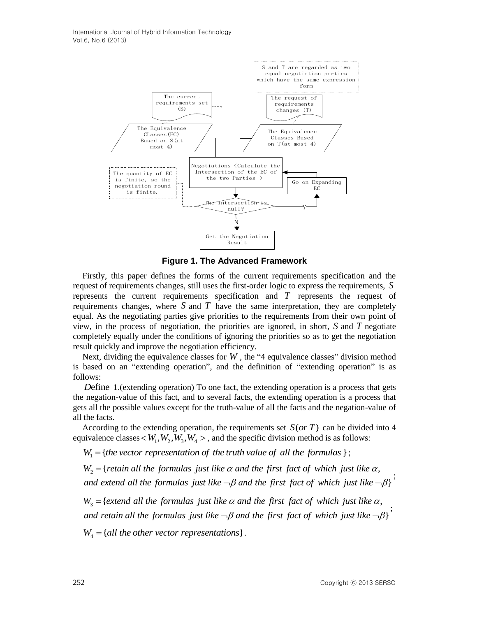International Journal of Hybrid Information Technology Vol.6, No.6 (2013)



**Figure 1. The Advanced Framework**

Firstly, this paper defines the forms of the current requirements specification and the request of requirements changes, still uses the first-order logic to express the requirements, *S* represents the current requirements specification and *T* represents the request of requirements changes, where  $S$  and  $T$  have the same interpretation, they are completely equal. As the negotiating parties give priorities to the requirements from their own point of view, in the process of negotiation, the priorities are ignored, in short, *S* and *T* negotiate completely equally under the conditions of ignoring the priorities so as to get the negotiation result quickly and improve the negotiation efficiency.

Next, dividing the equivalence classes for  $W$ , the "4 equivalence classes" division method is based on an "extending operation", and the definition of "extending operation" is as follows:

*D*efine 1.(extending operation) To one fact, the extending operation is a process that gets the negation-value of this fact, and to several facts, the extending operation is a process that gets all the possible values except for the truth-value of all the facts and the negation-value of all the facts.

According to the extending operation, the requirements set  $S(or T)$  can be divided into 4 invalence classes  $\lt W_1, W_2, W_3, W_4 >$ , and the specific division method is as follows:<br> $W_1 = \{the vector representation of the truth value of all the formulas \};$ equivalence classes  $\lt W_1, W_2, W_3, W_4 >$ , and the specific division method is as follows:

 $W_1 = \{$ the vector representation of the truth value of all the formulas  $\};$ 

2 ivalence classes  $\lt W_1, W_2, W_3, W_4 >$ , and the specific division method is as follows:<br>  $W_1 = \{the vector representation of the truth value of all the formulas \};$ <br>  $W_2 = \{ retain all the formulas just like  $\alpha$  and the first fact of which just like  $\alpha$ ,$ }  $W_1$  = {*the vector representation of the truth value of all the formulas* };<br> $W_2$  = {*retain all the formulas just like*  $\alpha$  *and the first fact of which just like*<br>*and extend all the formulas just like*  $\neg \beta$  *and* the specific division method is as follows:<br>truth value of all the formulas  $\}$ ;<br> $\alpha$  and the first fact of which just like  $\alpha$ , truth value of all the formulas  $\}$ ;<br>  $\alpha$  and the first fact of which just like  $\alpha$ ,<br>  $\neg \beta$  and the first fact of which just like  $\neg \beta$   $\}$ *W*<sub>2</sub> = {*retain all the formulas just like*  $\alpha$  *and the first fact of which just like*<br>*and extend all the formulas just like*  $\neg \beta$  *and the first fact of which just like*<br>*W*<sub>3</sub> = {*extend all the formulas just lik* ; {retain all the formulas just like  $\alpha$  and the first fact of which just like  $\alpha$ ,<br>extend all the formulas just like  $\neg \beta$  and the first fact of which just like  $\neg \beta$ }<br>{extend all the formulas just like  $\alpha$  and the fi

 $\frac{7}{3}$  = } *and extend all the formulas just like*  $\neg \beta$  *and the first fact of which just like*  $\neg \beta$ }<br>  $W_3$  = {extend all the formulas just like  $\alpha$  *and the first fact of which just like*  $\alpha$ ,<br> *and retain all the formulas j* 

 $W_4 = \{all\ the\ other\ vector\ representations\}.$ 

;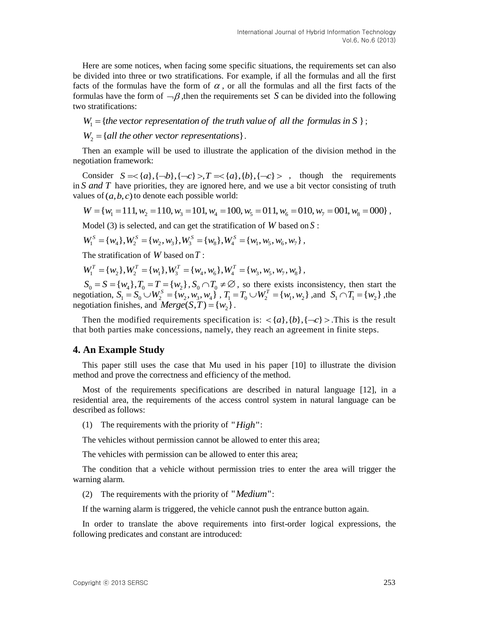Here are some notices, when facing some specific situations, the requirements set can also be divided into three or two stratifications. For example, if all the formulas and all the first facts of the formulas have the form of  $\alpha$ , or all the formulas and all the first facts of the formulas have the form of  $\neg \beta$ , then the requirements set S can be divided into the following two stratifications: ts of the formulas have the form of  $\alpha$ , or all the formulas and all the first factomulas have the form of  $\neg \beta$ , then the requirements set *S* can be divided into the formulas in S and stratifications:<br> $W_1 = \{$ the vect

;

 $W_2 = \{all \, the \, other \, vector \, representations\}$ .

Then an example will be used to illustrate the application of the division method in the negotiation framework:

gotiation framework:<br>
Consider  $S = \{a\}, \{\neg b\}, \{\neg c\} > \mathcal{F} = \{a\}, \{b\}, \{\neg c\} > \mathcal{F}$ , though the requirements in *S and T* have priorities, they are ignored here, and we use a bit vector consisting of truth values of  $(a, b, c)$  to denote each possible world:

 $W = \{w_1 = 111, w_2 = 110, w_3 = 101, w_4 = 100, w_5 = 011, w_6 = 010, w_7 = 001, w_8 = 000\}$ ,

Model (3) is selected, and can get the stratification of  $W$  based on  $S$ :

$$
W = \{W_1 = 111, W_2 = 110, W_3 = 101, W_4 = 100, W_5 = 011, W_6 = 01
$$
  
Model (3) is selected, and can get the stratification of *W* based on  

$$
W_1^S = \{W_1\}, W_2^S = \{W_2, W_3\}, W_3^S = \{W_8\}, W_4^S = \{W_1, W_5, W_6, W_7\},
$$

The stratification of *W* based on *T* :

$$
W_1 = \{w_4\}, W_2 = \{w_2, w_3\}, W_3 = \{w_8\}, W_4 = \{w_1, w_5, w_6, w_7\},
$$
  
The stratification of *W* based on *T*:  

$$
W_1^T = \{w_2\}, W_2^T = \{w_1\}, W_3^T = \{w_4, w_6\}, W_4^T = \{w_3, w_5, w_7, w_8\},
$$

 $S_0 = S = \{w_4\}$ ,  $T_0 = T = \{w_2\}$ ,  $S_0 \cap T_0 \neq \emptyset$ , so there exists inconsistency, then start the  $S_0 = S = \{w_1\}, I_0 = I = \{w_2\}, S_0 \cap I_0 \neq \emptyset$ , so there exists inconsistency, then start the negotiation,  $S_1 = S_0 \cup W_2^S = \{w_2, w_3, w_4\}$ ,  $T_1 = T_0 \cup W_2^T = \{w_1, w_2\}$ , and  $S_1 \cap T_1 = \{w_2\}$ , the negotiation,  $z_1^1$  ,  $z_0^2$  ,  $w_2^2$  ,  $w_3^3$ ,  $w_4^3$ ,  $z_1^1$ ,  $z_2^1$ ,  $z_3^2$  expectises, and  $Merge(S,T) = \{w_2\}$ .

Then the modified requirements specification is:  $\langle a \, | \, \{b\}, \{-c\} \rangle$ . This is the result that both parties make concessions, namely, they reach an agreement in finite steps.

### **4. An Example Study**

This paper still uses the case that Mu used in his paper [10] to illustrate the division method and prove the correctness and efficiency of the method.

Most of the requirements specifications are described in natural language [12], in a residential area, the requirements of the access control system in natural language can be described as follows:

(1) The requirements with the priority of " $High$ ":

The vehicles without permission cannot be allowed to enter this area;

The vehicles with permission can be allowed to enter this area;

The condition that a vehicle without permission tries to enter the area will trigger the warning alarm.

(2) The requirements with the priority of "Medium":

If the warning alarm is triggered, the vehicle cannot push the entrance button again.

In order to translate the above requirements into first-order logical expressions, the following predicates and constant are introduced: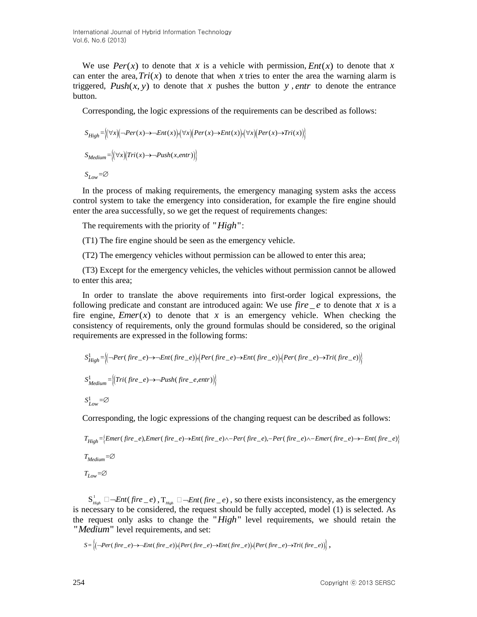We use  $Per(x)$  to denote that x is a vehicle with permission,  $Ent(x)$  to denote that x can enter the area,  $Tri(x)$  to denote that when x tries to enter the area the warning alarm is triggered,  $Push(x, y)$  to denote that x pushes the button y, *entr* to denote the entrance button.

Corresponding, the logic expressions of the requirements can be described as follows:  
\n
$$
S_{High} = \left( \left( \forall x \right) \left( \neg Per(x) \rightarrow \neg Ent(x) \right) \left( \forall x \right) \left( Per(x) \rightarrow \neg Ent(x) \right) \left( \forall x \right) \left( Per(x) \rightarrow \neg Tri(x) \right) \right)
$$
\n
$$
S_{Median} = \left( \left( \forall x \right) \left( Tri(x) \rightarrow \neg Push(x, entr) \right) \right)
$$

 $S_{Low} = \varnothing$ 

In the process of making requirements, the emergency managing system asks the access control system to take the emergency into consideration, for example the fire engine should enter the area successfully, so we get the request of requirements changes:

The requirements with the priority of "High":

(T1) The fire engine should be seen as the emergency vehicle.

(T2) The emergency vehicles without permission can be allowed to enter this area;

(T3) Except for the emergency vehicles, the vehicles without permission cannot be allowed to enter this area;

In order to translate the above requirements into first-order logical expressions, the following predicate and constant are introduced again: We use  $fire \_\ e$  to denote that x is a fire engine, *Emer*( $x$ ) to denote that  $x$  is an emergency vehicle. When checking the consistency of requirements, only the ground formulas should be considered, so the original

requirements are expressed in the following forms:

\n
$$
S_{High}^{1} = \left( \left( -Per(fire_{e}) \rightarrow Ent(fire_{e}) \right) \left( Per(fire_{e}) \rightarrow Ent(fire_{e}) \right) \left( Per(fire_{e}) \rightarrow Tri(fire_{e}) \right) \right)
$$
\n
$$
S_{Median}^{1} = \left( \left( Tri(fire_{e}) \rightarrow -Push(fire_{e}, entr) \right) \right)
$$
\n
$$
S_{Low}^{1} = \varnothing
$$

Corresponding, the logic expressions of the changing request can be described as follows:  
\n
$$
T_{High} = \{Emer(fire_e), Emer(fire_e) \rightarrow Ent(fire_e) \land -Per(fire_e), -Per(fire_e) \land -Emer(fire_e) \rightarrow -Ent(fire_e)\}
$$
\n
$$
T_{Median} = \varnothing
$$
\n
$$
T_{Low} = \varnothing
$$

 $S_{High}^1 \Box \neg Ent(fire_e)$ ,  $T_{High} \Box \neg Ent(fire_e)$ , so there exists inconsistency, as the emergency is necessary to be considered, the request should be fully accepted, model (1) is selected. As the request only asks to change the "High" level requirements, we should retain the " *Medium*" level requirements, and set:<br>  $S = \left\{(-Per(fire_e) \rightarrow Ent(fire_e)) (Per(fire_e) \rightarrow Ent(fire_e)) (Per(fire_e) \rightarrow Tri(fire_e))\right\},$ 

$$
S = \left\langle \left( \neg Per(fire\_e) \rightarrow \neg Ent(fire\_e) \right) \langle Per(fire\_e) \rightarrow Ent(fire\_e) \rangle \langle Per(fire\_e) \rightarrow Tri(fire\_e) \rangle \right\rangle,
$$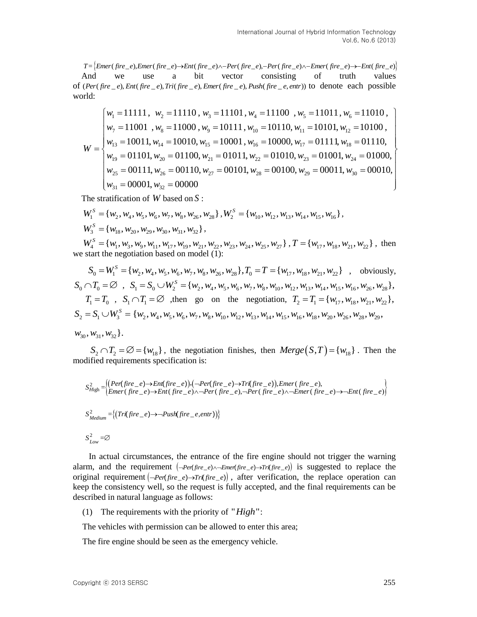And we use a bit vector consisting of truth values  $T = \{ Emer(fire_e), Emer(fire_e) \rightarrow Ent(fire_e) \land -Per(fire_e), -Per(fire_e) \land -Emer(fire_e) \rightarrow Ent(fire_e) \}$ <br>
And we use a bit vector consisting of truth values<br>
of  $(Per(fire_e), Ent(fire_e), Tri(fire_e), Emer(fire_e), Push(fire_e, entr))$  to denote each possible world: we use a bit vector consisting of truth values<br>
fire *e*), Ent(fire *e*), Tri(fire *e*), Emer(fire *e*), Push(fire *e*, entr)) to denote each possible<br>  $\begin{bmatrix} w_1 = 11111, w_2 = 11110, w_3 = 11101, w_4 = 11100, w_5 = 11011, w_6 = 11$ 

$$
T = {frac[5mer(f_{i}re_{-}e)Ener(f_{i}re_{-}e) \rightarrow Ene(f_{i}re_{-}e) \rightarrow Per(f_{i}re_{-}e) \rightarrow Per(f_{i}re_{-}e) \rightarrow Ene(f_{i}re_{-}e) \rightarrow Ene(f_{i}re_{-}e) \rightarrow Ene(f_{i}re_{-}e) \land Ene(f_{i}re_{-}e) \land Ene(f_{i}re_{-}e) \land Ene(f_{i}re_{-}e) \land Ene(f_{i}re_{-}e) \land Ene(f_{i}re_{-}e) \land Ene(f_{i}re_{-}e) \land Ene(f_{i}re_{-}e) \land Ene(f_{i}re_{-}e) \land Ene(f_{i}re_{-}e) \land Ene(f_{i}re_{-}e) \land Ene(f_{i}re_{-}e) \land Ene(f_{i}re_{-}e) \land Ene(f_{i}re_{-}e) \land Ene(f_{i}re_{-}e) \land Ene(f_{i}re_{-}e) \land Ene(f_{i}re_{-}e) \land Ene(f_{i}re_{-}e) \land Ene(f_{i}re_{-}e) \land Ene(f_{i}re_{-}e) \land Ene(f_{i}re_{-}e) \land Ene(f_{i}re_{-}e) \land Ene(f_{i}re_{-}e) \land Ene(f_{i}re_{-}e) \land Ene(f_{i}re_{-}e) \land Ene(f_{i}re_{-}e) \land Ene(f_{i}re_{-}e) \land Ene(f_{i}re_{-}e) \land Ene(f_{i}re_{-}e) \land Ene(f_{i}re_{-}e) \land Ene(f_{i}re_{-}e) \land Ene(f_{i}re_{-}e) \land Ene(f_{i}re_{-}e) \land Ene(f_{i}re_{-}e) \land Ene(f_{i}re_{-}e) \land Ene(f_{i}re_{-}e) \land Ene(f_{i}re_{-}e) \land Ene(f_{i}re_{-}e) \land Ene(f_{i}re_{-}e) \land Ene(f_{i}re_{-}e) \land Ene(f_{i}re_{-}e) \land Ene(f_{i}re_{-}e) \land Ene(f_{i}re_{-}e) \land Ene(f_{i}re_{-}e) \land Ene(f_{i}re_{-}e) \land Ene(f_{i}re_{-}e) \land Ene(f_{i}re_{-}e)
$$

The stratification of *W* based on *S* :

The stratification of W based on S :<br>  $W_1^S = \{w_2, w_4, w_5, w_6, w_7, w_8, w_{26}, w_{28}\}, W_2^S = \{w_{10}, w_{12}, w_{13}, w_{14}, w_{15}, w_{16}\},$  $W_3^S = \{W_{18}, W_{20}, W_{29}, W_{30}, W_{31}, W_{32}\},$  $W_3^S = \{w_{18}, w_{20}, w_{29}, w_{30}, w_{31}, w_{32}\},$ <br>  $W_4^S = \{w_1, w_3, w_9, w_{11}, w_{17}, w_{19}, w_{21}, w_{22}, w_{23}, w_{24}, w_{25}, w_{27}\}, T = \{w_{17}, w_{18}, w_{21}, w_{22}\}, \text{ then}$ 

we start the negotiation based on model (1):  $W_4^S = \{w_1, w_3, w_9, w_{11}, w_{17}, w_{19}, w_{21}, w_{22}, w_{23}, w_{24}, w_{25}, w_{27}\}$ ,  $T = \{w_{17}, w_{18}, w_{18}\}$  tart the negotiation based on model (1):<br>  $S_0 = W_1^S = \{w_2, w_4, w_5, w_6, w_7, w_8, w_{26}, w_{28}\}$ ,  $T_0 = T = \{w_{17}, w_{18}, w_{21}, w_{22}\}$ 

we start the negotiation based on model (1):  
\n
$$
S_0 = W_1^S = \{w_2, w_4, w_5, w_6, w_7, w_8, w_{26}, w_{28}\}, T_0 = T = \{w_{17}, w_{18}, w_{21}, w_{22}\} ,
$$
 obviously,  
\n
$$
S_0 \cap T_0 = \emptyset , S_1 = S_0 \cup W_2^S = \{w_2, w_4, w_5, w_6, w_7, w_8, w_{10}, w_{12}, w_{13}, w_{14}, w_{15}, w_{16}, w_{26}, w_{28}\},
$$
  
\n
$$
T_1 = T_0 , S_1 \cap T_1 = \emptyset ,
$$
 then go on the negotiation,  $T_2 = T_1 = \{w_{17}, w_{18}, w_{21}, w_{22}\},$   
\n
$$
S_2 = S_1 \cup W_3^S = \{w_2, w_4, w_5, w_6, w_7, w_8, w_{10}, w_{12}, w_{13}, w_{14}, w_{15}, w_{16}, w_{18}, w_{20}, w_{26}, w_{28}, w_{29},
$$

 $w_{30}$ ,  $w_{31}$ ,  $w_{32}$ .

 $S_2 \cap T_2 = \emptyset = \{w_{18}\}\$ , the negotiation finishes, then  $Merge(S,T) = \{w_{18}\}\$ . Then the modified requirements specification is:

$$
S_{High}^2 = \left\{ \begin{aligned} (Per(fire_e e) \rightarrow Ent(fire_e e)) \cdot (-Per(fire_e e) \rightarrow Tr(fire_e e)) \cdot Emer(fire_e e), \\ Emer(fire_e e) \rightarrow Ent(fire_e e) \land -Per(fire_e e) \land -Per(fire_e e) \land -Emer(fire_e e) \land -Emer(fire_e e) \rightarrow Ent(fire_e e) \end{aligned} \right\}
$$
  

$$
S_{Median}^2 = \left\{ (Tri(fire_e e) \rightarrow -Push(fire_e, entr)) \right\}
$$
  

$$
S_{Low}^2 = \varnothing
$$

 In actual circumstances, the entrance of the fire engine should not trigger the warning alarm, and the requirement  $(-Per(fire_e) \wedge -Emer(fire_e) \rightarrow Tr(fire_e))$  is suggested to replace the original requirement  $\left( \neg \text{Per(fire}_e) \rightarrow \text{Tr(fire}_e) \right)$ , after verification, the replace operation can keep the consistency well, so the request is fully accepted, and the final requirements can be described in natural language as follows:

(1) The requirements with the priority of " $High$ ":

The vehicles with permission can be allowed to enter this area;

The fire engine should be seen as the emergency vehicle.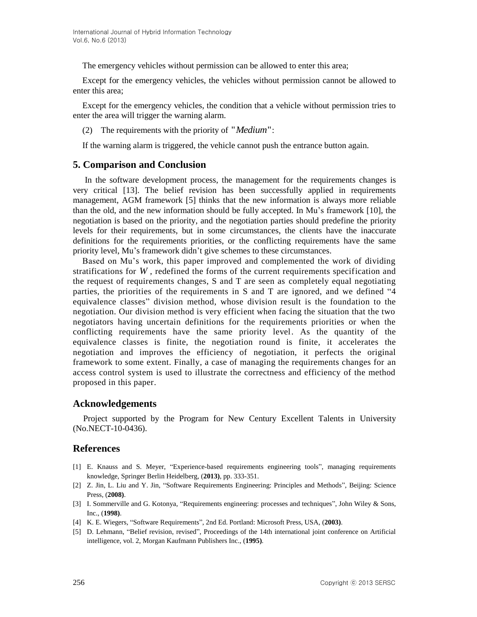The emergency vehicles without permission can be allowed to enter this area;

Except for the emergency vehicles, the vehicles without permission cannot be allowed to enter this area;

Except for the emergency vehicles, the condition that a vehicle without permission tries to enter the area will trigger the warning alarm.

(2) The requirements with the priority of "Medium":

If the warning alarm is triggered, the vehicle cannot push the entrance button again.

## **5. Comparison and Conclusion**

In the software development process, the management for the requirements changes is very critical [13]. The belief revision has been successfully applied in requirements management, AGM framework [5] thinks that the new information is always more reliable than the old, and the new information should be fully accepted. In Mu's framework [10], the negotiation is based on the priority, and the negotiation parties should predefine the priority levels for their requirements, but in some circumstances, the clients have the inaccurate definitions for the requirements priorities, or the conflicting requirements have the same priority level, Mu's framework didn't give schemes to these circumstances.

Based on Mu's work, this paper improved and complemented the work of dividing stratifications for *W* , redefined the forms of the current requirements specification and the request of requirements changes, S and T are seen as completely equal negotiating parties, the priorities of the requirements in S and T are ignored, and we defined "4 equivalence classes" division method, whose division result is the foundation to the negotiation. Our division method is very efficient when facing the situation that the two negotiators having uncertain definitions for the requirements priorities or when the conflicting requirements have the same priority level. As the quantity of the equivalence classes is finite, the negotiation round is finite, it accelerates the negotiation and improves the efficiency of negotiation, it perfects the original framework to some extent. Finally, a case of managing the requirements changes for an access control system is used to illustrate the correctness and efficiency of the method proposed in this paper.

## **Acknowledgements**

Project supported by the Program for New Century Excellent Talents in University (No.NECT-10-0436).

### **References**

- [1] E. Knauss and S. Meyer, "Experience-based requirements engineering tools", managing requirements knowledge, Springer Berlin Heidelberg, (**2013)**, pp. 333-351.
- [2] Z. Jin, L. Liu and Y. Jin, "Software Requirements Engineering: Principles and Methods", Beijing: Science Press, (**2008)**.
- [3] I. Sommerville and G. Kotonya, "Requirements engineering: processes and techniques", John Wiley & Sons, Inc., (**1998)**.
- [4] K. E. Wiegers, "Software Requirements", 2nd Ed. Portland: Microsoft Press, USA, (**2003)**.
- [5] D. Lehmann, "Belief revision, revised", Proceedings of the 14th international joint conference on Artificial intelligence, vol. 2, Morgan Kaufmann Publishers Inc., (**1995)**.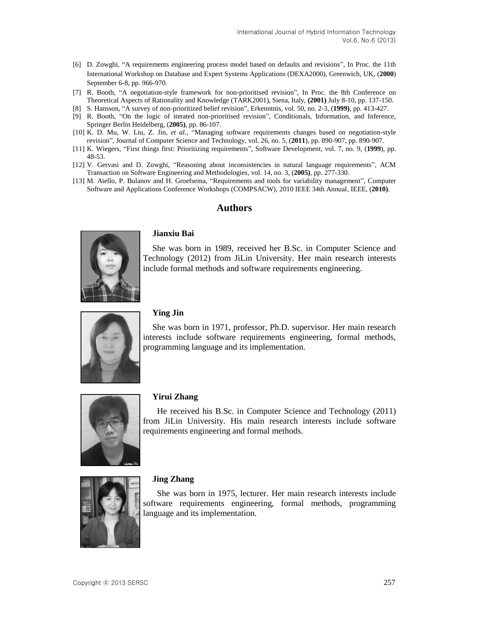- [6] D. Zowghi, "A requirements engineering process model based on defaults and revisions", In Proc. the 11th International Workshop on Database and Expert Systems Applications (DEXA2000), Greenwich, UK, (**2000**) September 6-8, pp. 966-970.
- [7] R. Booth, "A negotiation-style framework for non-prioritised revision", In Proc. the 8th Conference on Theoretical Aspects of Rationality and Knowledge (TARK2001), Siena, Italy, **(2001)** July 8-10, pp. 137-150.
- [8] S. Hansson, "A survey of non-prioritized belief revision", Erkenntnis, vol. 50, no. 2-3, (**1999)**, pp. 413-427.
- [9] R. Booth, "On the logic of iterated non-prioritised revision", Conditionals, Information, and Inference, Springer Berlin Heidelberg, (**2005)**, pp. 86-107.
- [10] K. D. Mu, W. Liu, Z. Jin, *et al.*, "Managing software requirements changes based on negotiation-style revision", Journal of Computer Science and Technology, vol. 26, no. 5, (**2011**), pp. 890-907, pp. 890-907.
- [11] K. Wiegers, "First things first: Prioritizing requirements", Software Development, vol. 7, no. 9, (**1999**), pp. 48-53.
- [12] V. Gervasi and D. Zowghi, "Reasoning about inconsistencies in natural language requirements", ACM Transaction on Software Engineering and Methodologies, vol. 14, no. 3, (**2005)**, pp. 277-330.
- [13] M. Aiello, P. Bulanov and H. Groefsema, "Requirements and tools for variability management", Computer Software and Applications Conference Workshops (COMPSACW), 2010 IEEE 34th Annual, IEEE, (**2010)**.

### **Authors**



#### **Jianxiu Bai**

She was born in 1989, received her B.Sc. in Computer Science and Technology (2012) from JiLin University. Her main research interests include formal methods and software requirements engineering.



### **Ying Jin**

She was born in 1971, professor, Ph.D. supervisor. Her main research interests include software requirements engineering, formal methods, programming language and its implementation.



### **Yirui Zhang**

He received his B.Sc. in Computer Science and Technology (2011) from JiLin University. His main research interests include software requirements engineering and formal methods.



### **Jing Zhang**

She was born in 1975, lecturer. Her main research interests include software requirements engineering, formal methods, programming language and its implementation.